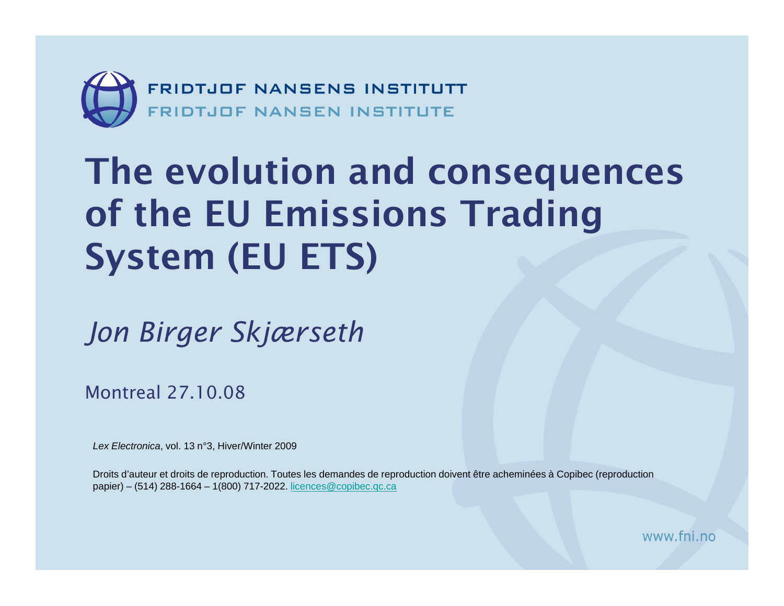

#### The evolution and consequences of the EU Emissions Trading System (EU ETS)

*Jon Birger Skjærseth* 

Montreal 27.10.08

*Lex Electronica*, vol. 13 n°3, Hiver/Winter 2009

Droits d'auteur et droits de reproduction. Toutes les demandes de reproduction doivent être acheminées à Copibec (reproduction papier) – (514) 288-1664 – 1(800) 717-2022. [licences@copibec.qc.ca](mailto:licences@copibec.qc.ca)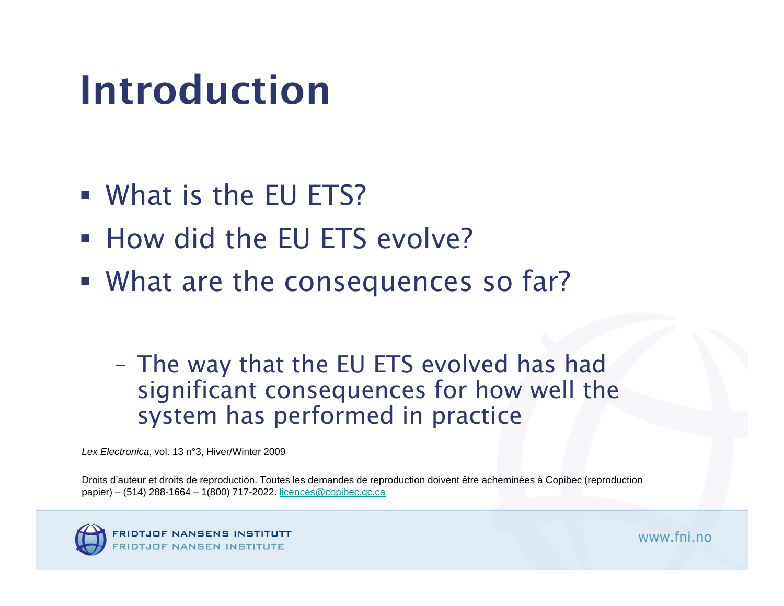## Introduction

- What is the EU ETS?
- **How did the EU ETS evolve?**
- **What are the consequences so far?**

- The way that the EU ETS evolved has had significant consequences for how well the system has performed in practice

*Lex Electronica*, vol. 13 n°3, Hiver/Winter 2009

Droits d'auteur et droits de reproduction. Toutes les demandes de reproduction doivent être acheminées à Copibec (reproduction papier) – (514) 288-1664 – 1(800) 717-2022. [licences@copibec.qc.ca](mailto:licences@copibec.qc.ca)

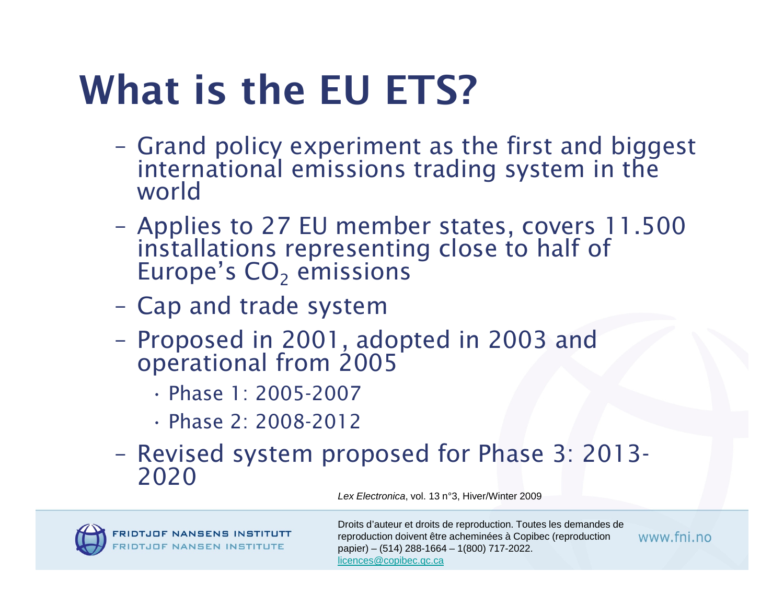# What is the EU ETS?

- Grand policy experiment as the first and biggest international emissions trading system in the world
- Applies to 27 EU member states, covers 11.500 installations representing close to half of Europe's CO<sub>2</sub> emissions  $_{\rm 2}$  emissions
- Cap and trade system
- Proposed in 2001, adopted in 2003 and operational from 2005
	- Phase 1: 2005-2007
	- Phase 2: 2008-2012
- Revised system proposed for Phase 3: 2013-2020

*Lex Electronica*, vol. 13 n°3, Hiver/Winter 2009



Droits d'auteur et droits de reproduction. Toutes les demandes de reproduction doivent être acheminées à Copibec (reproduction papier) – (514) 288-1664 – 1(800) 717-2022. [licences@copibec.qc.ca](mailto:licences@copibec.qc.ca)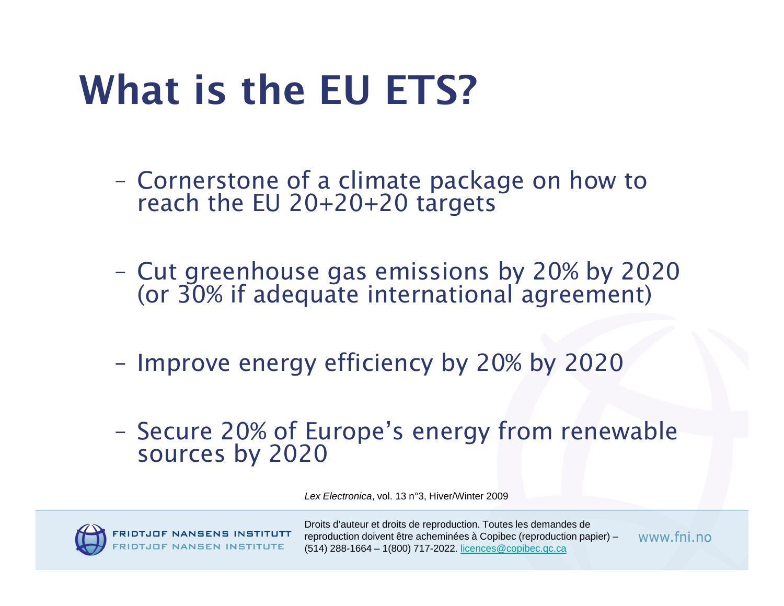## What is the EU ETS?

- Cornerstone of a climate package on how to reach the EU 20+20+20 targets
- Cut greenhouse gas emissions by 20% by 2020 (or 30% if adequate international agreement)
- Improve energy efficiency by 20% by 2020
- Secure 20% of Europe's energy from renewable<br>sources by 2020

*Lex Electronica*, vol. 13 n°3, Hiver/Winter 2009



Droits d'auteur et droits de reproduction. Toutes les demandes de reproduction doivent être acheminées à Copibec (reproduction papier) – (514) 288-1664 – 1(800) 717-2022. [licences@copibec.qc.ca](mailto:licences@copibec.qc.ca)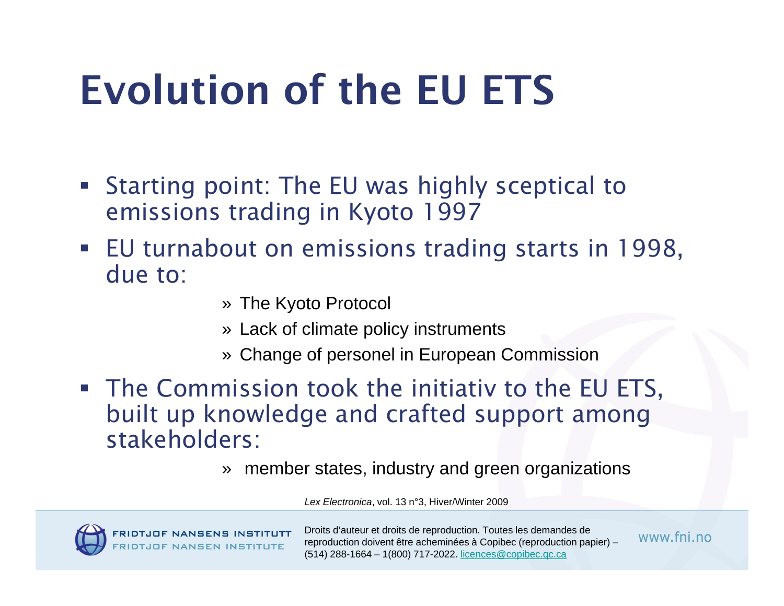# Evolution of the EU ETS

- Starting point: The EU was highly sceptical to emissions trading in Kyoto 1997
- EU turnabout on emissions trading starts in 1998, due to:
	- » The Kyoto Protocol
	- » Lack of climate policy instruments
	- » Change of personel in European Commission
- **The Commission took the initiativ to the EU ETS,** built up knowledge and crafted support among stakeholders:
	- » member states, industry and green organizations

*Lex Electronica*, vol. 13 n°3, Hiver/Winter 2009



Droits d'auteur et droits de reproduction. Toutes les demandes de reproduction doivent être acheminées à Copibec (reproduction papier) – (514) 288-1664 – 1(800) 717-2022. [licences@copibec.qc.ca](mailto:licences@copibec.qc.ca)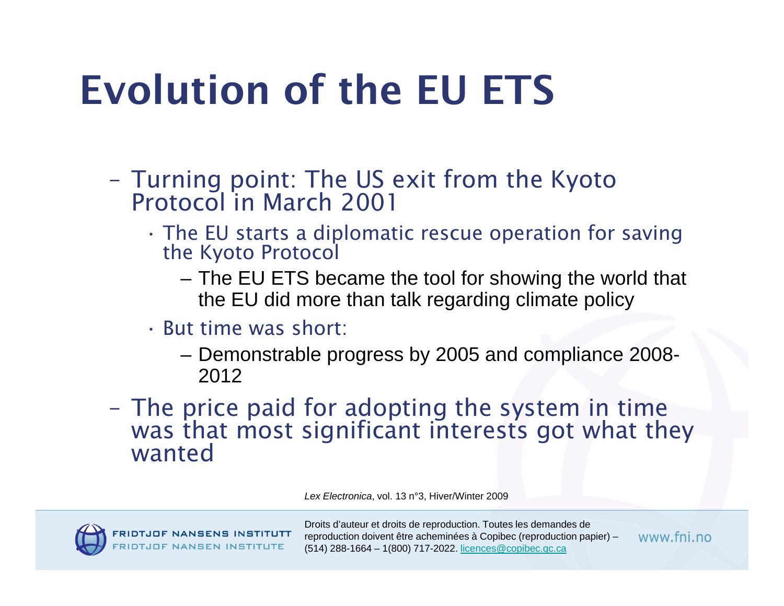# Evolution of the EU ETS

- Turning point: The US exit from the Kyoto Protocol in March 2001
	- • The EU starts a diplomatic rescue operation for saving the Kyoto Protocol
		- The EU ETS became the tool for showing the world that the EU did more than talk regarding climate policy
	- But time was short:
		- Demonstrable progress by 2005 and compliance 2008- 2012
- The price paid for adopting the system in time was that most significant interests got what they wanted

*Lex Electronica*, vol. 13 n°3, Hiver/Winter 2009



Droits d'auteur et droits de reproduction. Toutes les demandes de reproduction doivent être acheminées à Copibec (reproduction papier) – (514) 288-1664 – 1(800) 717-2022. [licences@copibec.qc.ca](mailto:licences@copibec.qc.ca)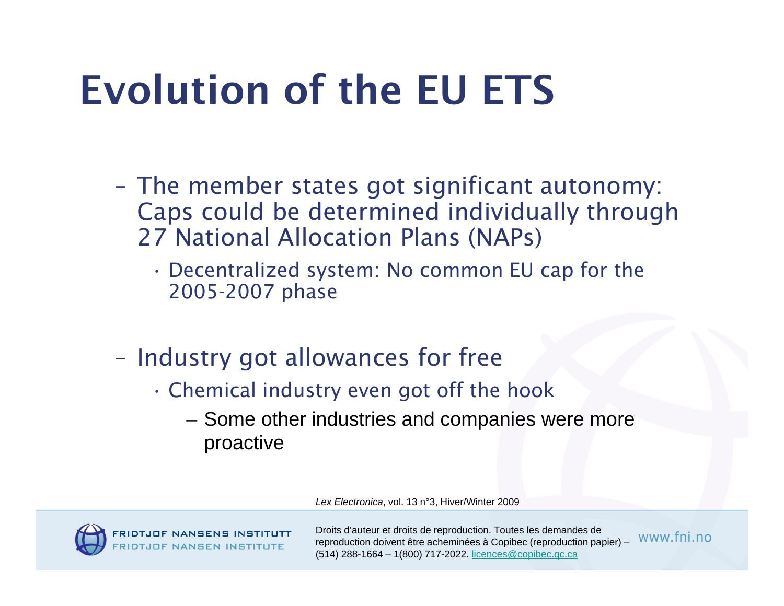# Evolution of the EU ETS

- The member states got significant autonomy: Caps could be determined individually through 27 National Allocation Plans (NAPs)
	- • Decentralized system: No common EU cap for the 2005-2007 phase
- Industry got allowances for free
	- • Chemical industry even got off the hook
		- –– Some other industries and companies were more proactive

*Lex Electronica*, vol. 13 n°3, Hiver/Winter 2009



Droits d'auteur et droits de reproduction. Toutes les demandes de reproduction doivent être acheminées à Copibec (reproduction papier) – (514) 288-1664 – 1(800) 717-2022. [licences@copibec.qc.ca](mailto:licences@copibec.qc.ca)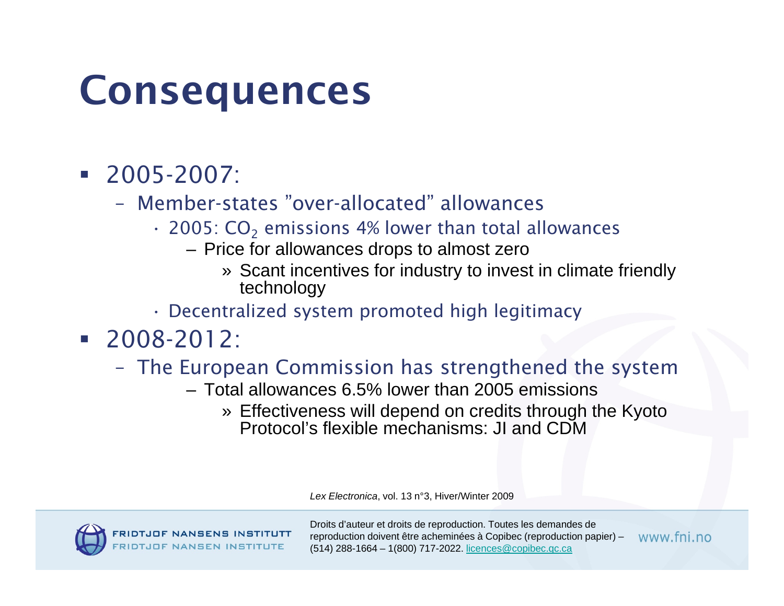#### Consequences

- 2005-2007:
	- Member-states "over-allocated" allowances
		- $\cdot$  2005: CO<sub>2</sub> emissions 4% lower than total allowances
			- Price for allowances drops to almost zero
				- » Scant incentives for industry to invest in climate friendly technology
		- Decentralized system promoted high legitimacy
- 2008-2012:
	- – The European Commission has strengthened the system
		- Total allowances 6.5% lower than 2005 emissions
			- » Effectiveness will depend on credits through the Kyoto Protocol's flexible mechanisms: JI and CDM

*Lex Electronica*, vol. 13 n°3, Hiver/Winter 2009



Droits d'auteur et droits de reproduction. Toutes les demandes de reproduction doivent être acheminées à Copibec (reproduction papier) – www fni no (514) 288-1664 – 1(800) 717-2022. [licences@copibec.qc.ca](mailto:licences@copibec.qc.ca)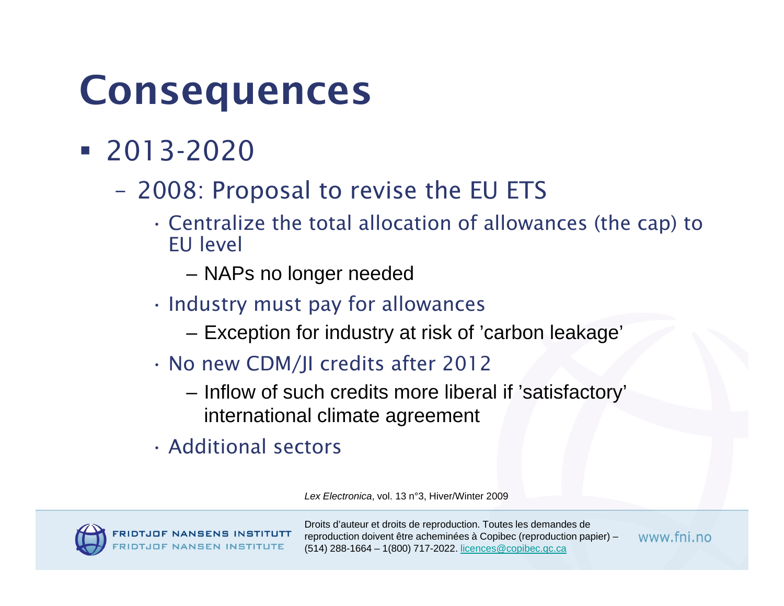#### Consequences

- 2013-2020
	- 2008: Proposal to revise the EU ETS
		- • Centralize the total allocation of allowances (the cap) to EU level
			- –NAPs no longer needed
		- • $\cdot$  Industry must pay for allowances
			- –Exception for industry at risk of 'carbon leakage'
		- No new CDM/JI credits after 2012
			- – $-$  Inflow of such credits more liberal if 'satisfactory'  $\,$ international climate agreement
		- Additional sectors

*Lex Electronica*, vol. 13 n°3, Hiver/Winter 2009



Droits d'auteur et droits de reproduction. Toutes les demandes de reproduction doivent être acheminées à Copibec (reproduction papier) – (514) 288-1664 – 1(800) 717-2022. [licences@copibec.qc.ca](mailto:licences@copibec.qc.ca)